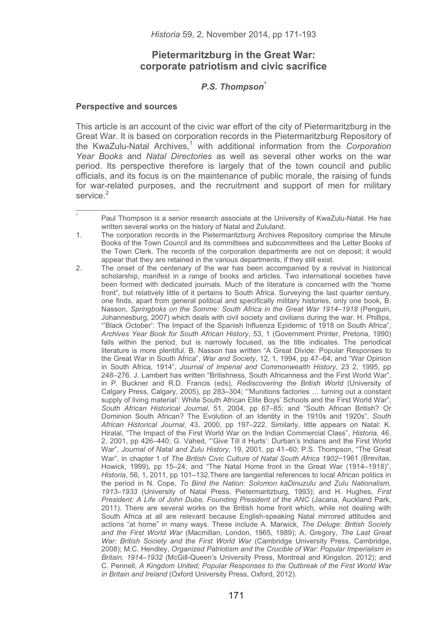# **Pietermaritzburg in the Great War: corporate patriotism and civic sacrifice**

# *P.S. Thompson\**

## **Perspective and sources**

-----------------------------------------------------------

\*

This article is an account of the civic war effort of the city of Pietermaritzburg in the Great War. It is based on corporation records in the Pietermaritzburg Repository of the KwaZulu-Natal Archives,<sup>1</sup> with additional information from the *Corporation Year Books* and *Natal Directories* as well as several other works on the war period. Its perspective therefore is largely that of the town council and public officials, and its focus is on the maintenance of public morale, the raising of funds for war-related purposes, and the recruitment and support of men for military service<sup>2</sup>

 Paul Thompson is a senior research associate at the University of KwaZulu-Natal. He has written several works on the history of Natal and Zululand.

<sup>1.</sup> The corporation records in the Pietermaritzburg Archives Repository comprise the Minute Books of the Town Council and its committees and subcommittees and the Letter Books of the Town Clerk. The records of the corporation departments are not on deposit; it would appear that they are retained in the various departments, if they still exist.

<sup>2.</sup> The onset of the centenary of the war has been accompanied by a revival in historical scholarship, manifest in a range of books and articles. Two international societies have been formed with dedicated journals. Much of the literature is concerned with the "home front", but relatively little of it pertains to South Africa. Surveying the last quarter century, one finds, apart from general political and specifically military histories, only one book, B. Nasson, *Springboks on the Somme: South Africa in the Great War 1914–1918* (Penguin, Johannesburg, 2007) which deals with civil society and civilians during the war. H. Phillips, "'Black October': The Impact of the Spanish Influenza Epidemic of 1918 on South Africa", *Archives Year Book for South African History*, 53, 1 (Government Printer, Pretoria, 1990) falls within the period, but is narrowly focused, as the title indicates. The periodical literature is more plentiful. B. Nasson has written "A Great Divide: Popular Responses to the Great War in South Africa", *War and Society*, 12, 1, 1994, pp 47–64; and "War Opinion in South Africa, 1914", *Journal of Imperial and Commonwealth History*, 23 2, 1995, pp 248–276. J. Lambert has written "Britishness, South Africanness and the First World War", in P. Buckner and R.D. Francis (eds), *Rediscovering the British World* (University of Calgary Press, Calgary, 2005), pp 283–304; "'Munitions factories … turning out a constant supply of living material': White South African Elite Boys' Schools and the First World War", *South African Historical Journal,* 51, 2004, pp 67–85; and "South African British? Or Dominion South African? The Evolution of an Identity in the 1910s and 1920s", *South African Historical Journal*, 43, 2000, pp 197–222. Similarly, little appears on Natal: K. Hiralal, "The Impact of the First World War on the Indian Commercial Class", *Historia*, 46, 2, 2001, pp 426–440; G. Vahed, "'Give Till it Hurts': Durban's Indians and the First World War", *Journal of Natal and Zulu History,* 19, 2001, pp 41–60; P.S. Thompson, "The Great War", in chapter 1 of *The British Civic Culture of Natal South Africa 1902*–1961 (Brevitas, Howick, 1999), pp 15–24; and "The Natal Home front in the Great War (1914–1918)", *Historia*, 56, 1, 2011, pp 101–132.There are tangential references to local African politics in the period in N. Cope, *To Bind the Nation: Solomon kaDinuzulu and Zulu Nationalism, 1913*–*1933* (University of Natal Press, Pietermaritzburg, 1993); and H. Hughes, *First President: A Life of John Dube, Founding President of the ANC* (Jacana, Auckland Park, 2011). There are several works on the British home front which, while not dealing with South Africa at all are relevant because English-speaking Natal mirrored attitudes and actions "at home" in many ways. These include A. Marwick, *The Deluge: British Society and the First World War* (Macmillan, London, 1965, 1989); A. Gregory, *The Last Great War: British Society and the First World War* (Cambridge University Press, Cambridge, 2008); M.C. Hendley, *Organized Patriotism and the Crucible of War: Popular Imperialism in Britain, 1914*–*1932* (McGill-Queen's University Press, Montreal and Kingston, 2012); and C. Pennell, *A Kingdom United; Popular Responses to the Outbreak of the First World War in Britain and Ireland* (Oxford University Press, Oxford, 2012).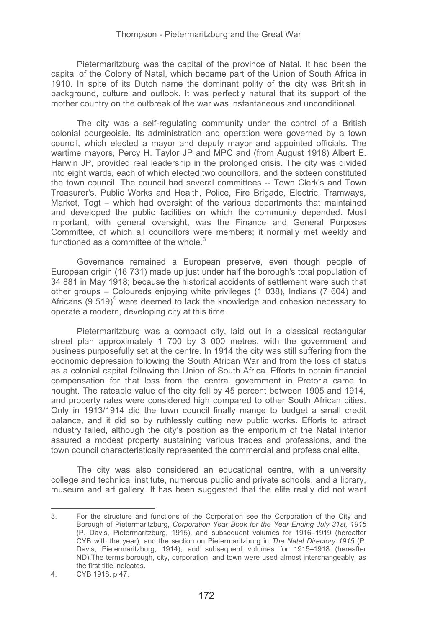Pietermaritzburg was the capital of the province of Natal. It had been the capital of the Colony of Natal, which became part of the Union of South Africa in 1910. In spite of its Dutch name the dominant polity of the city was British in background, culture and outlook. It was perfectly natural that its support of the mother country on the outbreak of the war was instantaneous and unconditional.

The city was a self-regulating community under the control of a British colonial bourgeoisie. Its administration and operation were governed by a town council, which elected a mayor and deputy mayor and appointed officials. The wartime mayors, Percy H. Taylor JP and MPC and (from August 1918) Albert E. Harwin JP, provided real leadership in the prolonged crisis. The city was divided into eight wards, each of which elected two councillors, and the sixteen constituted the town council. The council had several committees -- Town Clerk's and Town Treasurer's, Public Works and Health, Police, Fire Brigade, Electric, Tramways, Market. Togt – which had oversight of the various departments that maintained and developed the public facilities on which the community depended. Most important, with general oversight, was the Finance and General Purposes Committee, of which all councillors were members; it normally met weekly and functioned as a committee of the whole. $3$ 

Governance remained a European preserve, even though people of European origin (16 731) made up just under half the borough's total population of 34 881 in May 1918; because the historical accidents of settlement were such that other groups – Coloureds enjoying white privileges (1 038), Indians (7 604) and Africans (9  $519)^4$  were deemed to lack the knowledge and cohesion necessary to operate a modern, developing city at this time.

Pietermaritzburg was a compact city, laid out in a classical rectangular street plan approximately 1 700 by 3 000 metres, with the government and business purposefully set at the centre. In 1914 the city was still suffering from the economic depression following the South African War and from the loss of status as a colonial capital following the Union of South Africa. Efforts to obtain financial compensation for that loss from the central government in Pretoria came to nought. The rateable value of the city fell by 45 percent between 1905 and 1914, and property rates were considered high compared to other South African cities. Only in 1913/1914 did the town council finally mange to budget a small credit balance, and it did so by ruthlessly cutting new public works. Efforts to attract industry failed, although the city's position as the emporium of the Natal interior assured a modest property sustaining various trades and professions, and the town council characteristically represented the commercial and professional elite.

The city was also considered an educational centre, with a university college and technical institute, numerous public and private schools, and a library, museum and art gallery. It has been suggested that the elite really did not want

3. For the structure and functions of the Corporation see the Corporation of the City and Borough of Pietermaritzburg, *Corporation Year Book for the Year Ending July 31st, 1915* (P. Davis, Pietermaritzburg, 1915), and subsequent volumes for 1916–1919 (hereafter CYB with the year); and the section on Pietermaritzburg in *The Natal Directory 1915* (P. Davis, Pietermaritzburg, 1914), and subsequent volumes for 1915–1918 (hereafter ND).The terms borough, city, corporation, and town were used almost interchangeably, as the first title indicates.

<sup>4.</sup> CYB 1918, p 47.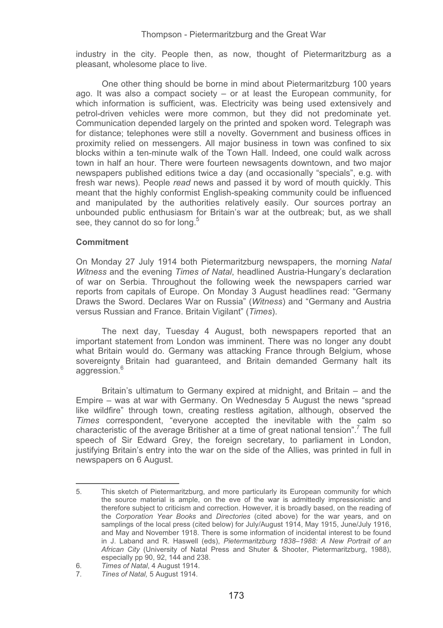industry in the city. People then, as now, thought of Pietermaritzburg as a pleasant, wholesome place to live.

One other thing should be borne in mind about Pietermaritzburg 100 years ago. It was also a compact society – or at least the European community, for which information is sufficient, was. Electricity was being used extensively and petrol-driven vehicles were more common, but they did not predominate yet. Communication depended largely on the printed and spoken word. Telegraph was for distance; telephones were still a novelty. Government and business offices in proximity relied on messengers. All major business in town was confined to six blocks within a ten-minute walk of the Town Hall. Indeed, one could walk across town in half an hour. There were fourteen newsagents downtown, and two major newspapers published editions twice a day (and occasionally "specials", e.g. with fresh war news). People *read* news and passed it by word of mouth quickly. This meant that the highly conformist English-speaking community could be influenced and manipulated by the authorities relatively easily. Our sources portray an unbounded public enthusiasm for Britain's war at the outbreak; but, as we shall see, they cannot do so for long.<sup>5</sup>

## **Commitment**

-----------------------------------------------------------

On Monday 27 July 1914 both Pietermaritzburg newspapers, the morning *Natal Witness* and the evening *Times of Natal*, headlined Austria-Hungary's declaration of war on Serbia. Throughout the following week the newspapers carried war reports from capitals of Europe. On Monday 3 August headlines read: "Germany Draws the Sword. Declares War on Russia" (*Witness*) and "Germany and Austria versus Russian and France. Britain Vigilant" (*Times*).

The next day, Tuesday 4 August, both newspapers reported that an important statement from London was imminent. There was no longer any doubt what Britain would do. Germany was attacking France through Belgium, whose sovereignty Britain had guaranteed, and Britain demanded Germany halt its aggression.<sup>6</sup>

Britain's ultimatum to Germany expired at midnight, and Britain – and the Empire – was at war with Germany. On Wednesday 5 August the news "spread like wildfire" through town, creating restless agitation, although, observed the *Times* correspondent, "everyone accepted the inevitable with the calm so characteristic of the average Britisher at a time of great national tension".<sup>7</sup> The full speech of Sir Edward Grey, the foreign secretary, to parliament in London, justifying Britain's entry into the war on the side of the Allies, was printed in full in newspapers on 6 August.

<sup>5.</sup> This sketch of Pietermaritzburg, and more particularly its European community for which the source material is ample, on the eve of the war is admittedly impressionistic and therefore subject to criticism and correction. However, it is broadly based, on the reading of the *Corporation Year Books* and *Directories* (cited above) for the war years, and on samplings of the local press (cited below) for July/August 1914, May 1915, June/July 1916, and May and November 1918. There is some information of incidental interest to be found in J. Laband and R. Haswell (eds), *Pietermaritzburg 1838*–*1988: A New Portrait of an African City* (University of Natal Press and Shuter & Shooter, Pietermaritzburg, 1988), especially pp 90, 92, 144 and 238.

<sup>6</sup>*. Times of Natal*, 4 August 1914.

<sup>7</sup>*. Tines of Natal,* 5 August 1914.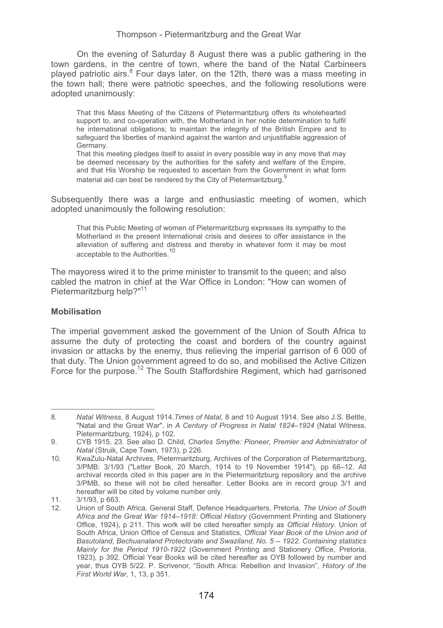On the evening of Saturday 8 August there was a public gathering in the town gardens, in the centre of town, where the band of the Natal Carbineers played patriotic airs.<sup>8</sup> Four days later, on the 12th, there was a mass meeting in the town hall; there were patriotic speeches, and the following resolutions were adopted unanimously:

That this Mass Meeting of the Citizens of Pietermaritzburg offers its wholehearted support to, and co-operation with, the Motherland in her noble determination to fulfil he international obligations; to maintain the integrity of the British Empire and to safeguard the liberties of mankind against the wanton and unjustifiable aggression of Germany.

That this meeting pledges itself to assist in every possible way in any move that may be deemed necessary by the authorities for the safety and welfare of the Empire, and that His Worship be requested to ascertain from the Government in what form material aid can best be rendered by the City of Pietermaritzburg.<sup>9</sup>

Subsequently there was a large and enthusiastic meeting of women, which adopted unanimously the following resolution:

That this Public Meeting of women of Pietermaritzburg expresses its sympathy to the Motherland in the present International crisis and desires to offer assistance in the alleviation of suffering and distress and thereby in whatever form it may be most acceptable to the Authorities.<sup>10</sup>

The mayoress wired it to the prime minister to transmit to the queen; and also cabled the matron in chief at the War Office in London: "How can women of Pietermaritzburg help?"11

## **Mobilisation**

-----------------------------------------------------------

The imperial government asked the government of the Union of South Africa to assume the duty of protecting the coast and borders of the country against invasion or attacks by the enemy, thus relieving the imperial garrison of 6 000 of that duty. The Union government agreed to do so, and mobilised the Active Citizen Force for the purpose.<sup>12</sup> The South Staffordshire Regiment, which had garrisoned

<sup>8</sup>*. Natal Witness*, 8 August 1914.*Times of Natal,* 8 and 10 August 1914. See also J.S. Bettle, "Natal and the Great War", in *A Century of Progress in Natal 1824*–*1924* (Natal Witness, Pietermaritzburg, 1924), p 102.

<sup>9.</sup> CYB 1915, 23. See also D. Child, *Charles Smythe: Pioneer, Premier and Administrator of Natal* (Struik, Cape Town, 1973), p 226.

<sup>10.</sup> KwaZulu-Natal Archives, Pietermaritzburg, Archives of the Corporation of Pietermaritzburg, 3/PMB: 3/1/93 ("Letter Book, 20 March, 1914 to 19 November 1914"), pp 66–12. All archival records cited in this paper are in the Pietermaritzburg repository and the archive 3/PMB, so these will not be cited hereafter. Letter Books are in record group 3/1 and hereafter will be cited by volume number only.

<sup>11. 3/1/93,</sup> p 663.

<sup>12.</sup> Union of South Africa, General Staff, Defence Headquarters, Pretoria, *The Union of South Africa and the Great War 1914*–*1918: Official History* (Government Printing and Stationery Office, 1924), p 211. This work will be cited hereafter simply as *Official History*. Union of South Africa, Union Office of Census and Statistics, *Official Year Book of the Union and of Basutoland, Bechuanaland Protectorate and Swaziland, No. 5 -- 1922. Containing statistics Mainly for the Period 1910-1922* (Government Printing and Stationery Office, Pretoria, 1923), p 392. Official Year Books will be cited hereafter as OYB followed by number and year, thus OYB 5/22. P. Scrivenor, "South Africa: Rebellion and Invasion", *History of the First World War*, 1, 13, p 351.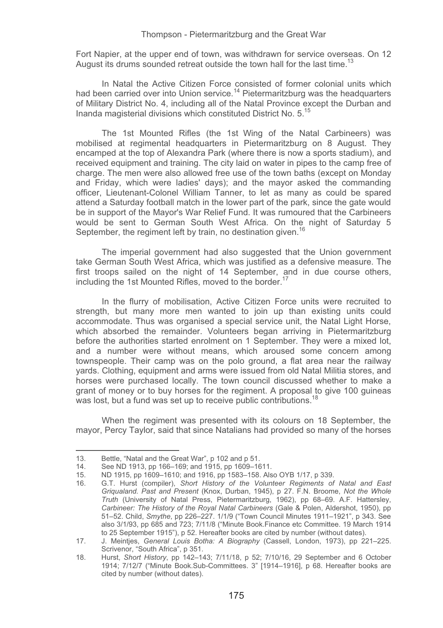Fort Napier, at the upper end of town, was withdrawn for service overseas. On 12 August its drums sounded retreat outside the town hall for the last time.<sup>13</sup>

In Natal the Active Citizen Force consisted of former colonial units which had been carried over into Union service.<sup>14</sup> Pietermaritzburg was the headquarters of Military District No. 4, including all of the Natal Province except the Durban and Inanda magisterial divisions which constituted District No. 5.15

The 1st Mounted Rifles (the 1st Wing of the Natal Carbineers) was mobilised at regimental headquarters in Pietermaritzburg on 8 August. They encamped at the top of Alexandra Park (where there is now a sports stadium), and received equipment and training. The city laid on water in pipes to the camp free of charge. The men were also allowed free use of the town baths (except on Monday and Friday, which were ladies' days); and the mayor asked the commanding officer, Lieutenant-Colonel William Tanner, to let as many as could be spared attend a Saturday football match in the lower part of the park, since the gate would be in support of the Mayor's War Relief Fund. It was rumoured that the Carbineers would be sent to German South West Africa. On the night of Saturday 5 September, the regiment left by train, no destination given.<sup>16</sup>

The imperial government had also suggested that the Union government take German South West Africa, which was justified as a defensive measure. The first troops sailed on the night of 14 September, and in due course others, including the 1st Mounted Rifles, moved to the border.<sup>17</sup>

In the flurry of mobilisation, Active Citizen Force units were recruited to strength, but many more men wanted to join up than existing units could accommodate. Thus was organised a special service unit, the Natal Light Horse, which absorbed the remainder. Volunteers began arriving in Pietermaritzburg before the authorities started enrolment on 1 September. They were a mixed lot, and a number were without means, which aroused some concern among townspeople. Their camp was on the polo ground, a flat area near the railway yards. Clothing, equipment and arms were issued from old Natal Militia stores, and horses were purchased locally. The town council discussed whether to make a grant of money or to buy horses for the regiment. A proposal to give 100 guineas was lost, but a fund was set up to receive public contributions.<sup>18</sup>

When the regiment was presented with its colours on 18 September, the mayor, Percy Taylor, said that since Natalians had provided so many of the horses

----------------------------------------------- --

<sup>-</sup>--------13. Bettle, "Natal and the Great War", p 102 and p 51.<br>14. See ND 1913. pp 166–169: and 1915. pp 1609–16

<sup>-</sup>-14. See ND 1913, pp 166–169; and 1915, pp 1609–1611.

<sup>15.</sup> ND 1915, pp 1609–1610; and 1916, pp 1583–158. Also OYB 1/17, p 339.

<sup>16.</sup> G.T. Hurst (compiler), *Short History of the Volunteer Regiments of Natal and East Griqualand. Past and Present* (Knox, Durban, 1945), p 27. F.N. Broome, *Not the Whole Truth* (University of Natal Press, Pietermaritzburg, 1962), pp 68–69. A.F. Hattersley, *Carbineer: The History of the Royal Natal Carbineers* (Gale & Polen, Aldershot, 1950), pp 51–52. Child, *Smythe*, pp 226–227. 1/1/9 ("Town Council Minutes 1911–1921", p 343. See also 3/1/93, pp 685 and 723; 7/11/8 ("Minute Book.Finance etc Committee. 19 March 1914 to 25 September 1915"), p 52. Hereafter books are cited by number (without dates).

<sup>17.</sup> J. Meintjes, *General Louis Botha: A Biography* (Cassell, London, 1973), pp 221–225. Scrivenor, "South Africa", p 351.

<sup>18.</sup> Hurst, *Short History*, pp 142–143; 7/11/18, p 52; 7/10/16, 29 September and 6 October 1914; 7/12/7 ("Minute Book.Sub-Committees. 3" [1914–1916], p 68. Hereafter books are cited by number (without dates).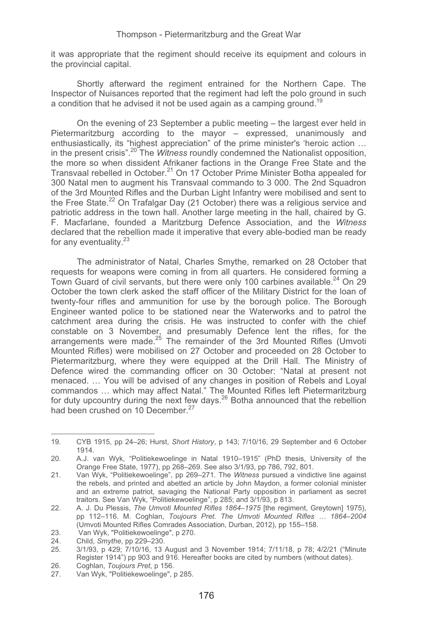it was appropriate that the regiment should receive its equipment and colours in the provincial capital.

Shortly afterward the regiment entrained for the Northern Cape. The Inspector of Nuisances reported that the regiment had left the polo ground in such a condition that he advised it not be used again as a camping ground.<sup>19</sup>

On the evening of 23 September a public meeting – the largest ever held in Pietermaritzburg according to the mayor – expressed, unanimously and enthusiastically, its "highest appreciation" of the prime minister's 'heroic action … in the present crisis".20 The *Witness* roundly condemned the Nationalist opposition, the more so when dissident Afrikaner factions in the Orange Free State and the Transvaal rebelled in October.<sup>21</sup> On 17 October Prime Minister Botha appealed for 300 Natal men to augment his Transvaal commando to 3 000. The 2nd Squadron of the 3rd Mounted Rifles and the Durban Light Infantry were mobilised and sent to the Free State.<sup>22</sup> On Trafalgar Day (21 October) there was a religious service and patriotic address in the town hall. Another large meeting in the hall, chaired by G. F. Macfarlane, founded a Maritzburg Defence Association, and the *Witness* declared that the rebellion made it imperative that every able-bodied man be ready for any eventuality.<sup>23</sup>

The administrator of Natal, Charles Smythe, remarked on 28 October that requests for weapons were coming in from all quarters. He considered forming a Town Guard of civil servants, but there were only 100 carbines available. $^{24}$  On 29 October the town clerk asked the staff officer of the Military District for the loan of twenty-four rifles and ammunition for use by the borough police. The Borough Engineer wanted police to be stationed near the Waterworks and to patrol the catchment area during the crisis. He was instructed to confer with the chief constable on 3 November, and presumably Defence lent the rifles, for the arrangements were made.<sup>25</sup> The remainder of the 3rd Mounted Rifles (Umvoti Mounted Rifles) were mobilised on 27 October and proceeded on 28 October to Pietermaritzburg, where they were equipped at the Drill Hall. The Ministry of Defence wired the commanding officer on 30 October: "Natal at present not menaced. … You will be advised of any changes in position of Rebels and Loyal commandos … which may affect Natal." The Mounted Rifles left Pietermaritzburg for duty upcountry during the next few days.  $26$  Botha announced that the rebellion had been crushed on 10 December.<sup>27</sup>

<sup>19.</sup> CYB 1915, pp 24–26; Hurst, *Short History*, p 143; 7/10/16, 29 September and 6 October 1914.

<sup>20.</sup> A.J. van Wyk, "Politiekewoelinge in Natal 1910–1915" (PhD thesis, University of the Orange Free State, 1977), pp 268–269. See also 3/1/93, pp 786, 792, 801.

<sup>21.</sup> Van Wyk, "Politiekewoelinge", pp 269–271. The *Witness* pursued a vindictive line against the rebels, and printed and abetted an article by John Maydon, a former colonial minister and an extreme patriot, savaging the National Party opposition in parliament as secret traitors. See Van Wyk, "Politiekewoelinge", p 285; and 3/1/93, p 813.

<sup>22.</sup> A. J. Du Plessis, *The Umvoti Mounted Rifles 1864*–*1975* [the regiment, Greytown] 1975), pp 112–116. M. Coghlan, *Toujours Pret. The Umvoti Mounted Rifles … 1864*–*2004* (Umvoti Mounted Rifles Comrades Association, Durban, 2012), pp 155–158.

<sup>23.</sup> Van Wyk, "Politiekewoelinge", p 270.<br>24. Child Smythe pp 229–230.

<sup>24.</sup> Child, *Smythe*, pp 229–230.

<sup>25. 3/1/93,</sup> p 429; 7/10/16, 13 August and 3 November 1914; 7/11/18, p 78; 4/2/21 ("Minute Register 1914") pp 903 and 916. Hereafter books are cited by numbers (without dates).

<sup>26.</sup> Coghlan, *Toujours Pret*, p 156.

Van Wyk, "Politiekewoelinge", p 285.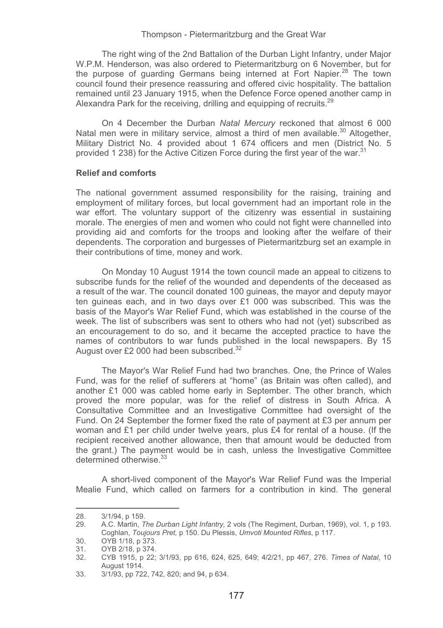The right wing of the 2nd Battalion of the Durban Light Infantry, under Major W.P.M. Henderson, was also ordered to Pietermaritzburg on 6 November, but for the purpose of guarding Germans being interned at Fort Napier.<sup>28</sup> The town council found their presence reassuring and offered civic hospitality. The battalion remained until 23 January 1915, when the Defence Force opened another camp in Alexandra Park for the receiving, drilling and equipping of recruits.<sup>29</sup>

On 4 December the Durban *Natal Mercury* reckoned that almost 6 000 Natal men were in military service, almost a third of men available.<sup>30</sup> Altogether. Military District No. 4 provided about 1 674 officers and men (District No. 5 provided 1 238) for the Active Citizen Force during the first year of the war.<sup>31</sup>

### **Relief and comforts**

The national government assumed responsibility for the raising, training and employment of military forces, but local government had an important role in the war effort. The voluntary support of the citizenry was essential in sustaining morale. The energies of men and women who could not fight were channelled into providing aid and comforts for the troops and looking after the welfare of their dependents. The corporation and burgesses of Pietermaritzburg set an example in their contributions of time, money and work.

On Monday 10 August 1914 the town council made an appeal to citizens to subscribe funds for the relief of the wounded and dependents of the deceased as a result of the war. The council donated 100 guineas, the mayor and deputy mayor ten guineas each, and in two days over £1 000 was subscribed. This was the basis of the Mayor's War Relief Fund, which was established in the course of the week. The list of subscribers was sent to others who had not (yet) subscribed as an encouragement to do so, and it became the accepted practice to have the names of contributors to war funds published in the local newspapers. By 15 August over £2 000 had been subscribed.<sup>32</sup>

The Mayor's War Relief Fund had two branches. One, the Prince of Wales Fund, was for the relief of sufferers at "home" (as Britain was often called), and another £1 000 was cabled home early in September. The other branch, which proved the more popular, was for the relief of distress in South Africa. A Consultative Committee and an Investigative Committee had oversight of the Fund. On 24 September the former fixed the rate of payment at £3 per annum per woman and £1 per child under twelve years, plus £4 for rental of a house. (If the recipient received another allowance, then that amount would be deducted from the grant.) The payment would be in cash, unless the Investigative Committee determined otherwise.<sup>33</sup>

A short-lived component of the Mayor's War Relief Fund was the Imperial Mealie Fund, which called on farmers for a contribution in kind. The general

----------------------------------

----------------

<sup>-</sup>--------28. 3/1/94, p 159.<br>29. A.C. Martin. T

<sup>29.</sup> A.C. Martin, *The Durban Light Infantry,* 2 vols (The Regiment, Durban, 1969), vol. 1, p 193. Coghlan, *Toujours Pret,* p 150. Du Plessis, *Umvoti Mounted Rifles*, p 117.

<sup>30.</sup> OYB 1/18, p 373.<br>31. OYB 2/18, p 374.

<sup>31.</sup> OYB 2/18, p 374.<br>32. CYB 1915, p 22;

<sup>32.</sup> CYB 1915, p 22; 3/1/93, pp 616, 624, 625, 649; 4/2/21, pp 467, 276. *Times of Natal*, 10 August 1914.

<sup>33. 3/1/93,</sup> pp 722, 742, 820; and 94, p 634.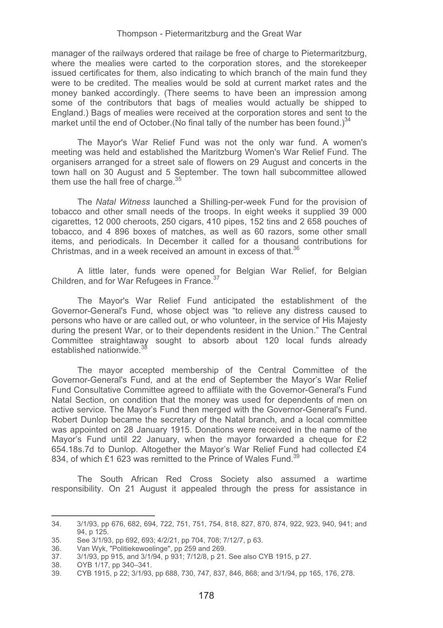manager of the railways ordered that railage be free of charge to Pietermaritzburg, where the mealies were carted to the corporation stores, and the storekeeper issued certificates for them, also indicating to which branch of the main fund they were to be credited. The mealies would be sold at current market rates and the money banked accordingly. (There seems to have been an impression among some of the contributors that bags of mealies would actually be shipped to England.) Bags of mealies were received at the corporation stores and sent to the market until the end of October. (No final tally of the number has been found.) $34$ 

The Mayor's War Relief Fund was not the only war fund. A women's meeting was held and established the Maritzburg Women's War Relief Fund. The organisers arranged for a street sale of flowers on 29 August and concerts in the town hall on 30 August and 5 September. The town hall subcommittee allowed them use the hall free of charge. $35$ 

The *Natal Witness* launched a Shilling-per-week Fund for the provision of tobacco and other small needs of the troops. In eight weeks it supplied 39 000 cigarettes, 12 000 cheroots, 250 cigars, 410 pipes, 152 tins and 2 658 pouches of tobacco, and 4 896 boxes of matches, as well as 60 razors, some other small items, and periodicals. In December it called for a thousand contributions for Christmas, and in a week received an amount in excess of that. $36$ 

A little later, funds were opened for Belgian War Relief, for Belgian Children, and for War Refugees in France.37

The Mayor's War Relief Fund anticipated the establishment of the Governor-General's Fund, whose object was "to relieve any distress caused to persons who have or are called out, or who volunteer, in the service of His Majesty during the present War, or to their dependents resident in the Union." The Central Committee straightaway sought to absorb about 120 local funds already established nationwide.<sup>38</sup>

The mayor accepted membership of the Central Committee of the Governor-General's Fund, and at the end of September the Mayor's War Relief Fund Consultative Committee agreed to affiliate with the Governor-General's Fund Natal Section, on condition that the money was used for dependents of men on active service. The Mayor's Fund then merged with the Governor-General's Fund. Robert Dunlop became the secretary of the Natal branch, and a local committee was appointed on 28 January 1915. Donations were received in the name of the Mayor's Fund until 22 January, when the mayor forwarded a cheque for £2 654.18s.7d to Dunlop. Altogether the Mayor's War Relief Fund had collected £4 834, of which £1,623 was remitted to the Prince of Wales Fund.<sup>39</sup>

The South African Red Cross Society also assumed a wartime responsibility. On 21 August it appealed through the press for assistance in

<sup>34. 3/1/93,</sup> pp 676, 682, 694, 722, 751, 751, 754, 818, 827, 870, 874, 922, 923, 940, 941; and 94, p 125.

<sup>35.</sup> See 3/1/93, pp 692, 693; 4/2/21, pp 704, 708; 7/12/7, p 63.

<sup>36.</sup> Van Wyk, "Politiekewoelinge", pp 259 and 269.

<sup>37. 3/1/93,</sup> pp 915, and 3/1/94, p 931; 7/12/8, p 21. See also CYB 1915, p 27.

OYB 1/17, pp 340-341.

<sup>39.</sup> CYB 1915, p 22; 3/1/93, pp 688, 730, 747, 837, 846, 868; and 3/1/94, pp 165, 176, 278.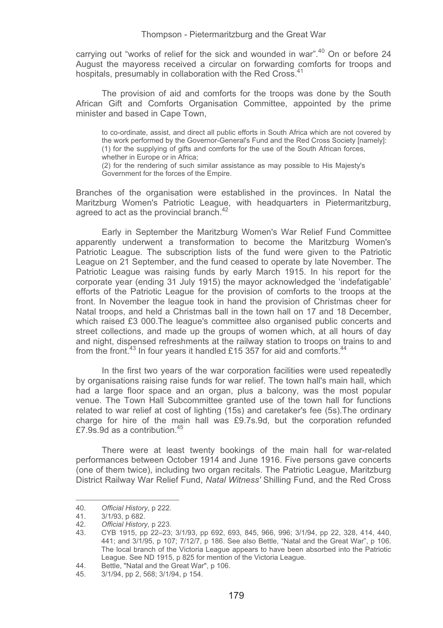carrying out "works of relief for the sick and wounded in war".<sup>40</sup> On or before 24 August the mayoress received a circular on forwarding comforts for troops and hospitals, presumably in collaboration with the Red Cross.<sup>41</sup>

The provision of aid and comforts for the troops was done by the South African Gift and Comforts Organisation Committee, appointed by the prime minister and based in Cape Town.

to co-ordinate, assist, and direct all public efforts in South Africa which are not covered by the work performed by the Governor-General's Fund and the Red Cross Society [namely]: (1) for the supplying of gifts and comforts for the use of the South African forces, whether in Europe or in Africa; (2) for the rendering of such similar assistance as may possible to His Majesty's Government for the forces of the Empire.

Branches of the organisation were established in the provinces. In Natal the Maritzburg Women's Patriotic League, with headquarters in Pietermaritzburg, agreed to act as the provincial branch.<sup>42</sup>

Early in September the Maritzburg Women's War Relief Fund Committee apparently underwent a transformation to become the Maritzburg Women's Patriotic League. The subscription lists of the fund were given to the Patriotic League on 21 September, and the fund ceased to operate by late November. The Patriotic League was raising funds by early March 1915. In his report for the corporate year (ending 31 July 1915) the mayor acknowledged the 'indefatigable' efforts of the Patriotic League for the provision of comforts to the troops at the front. In November the league took in hand the provision of Christmas cheer for Natal troops, and held a Christmas ball in the town hall on 17 and 18 December, which raised £3 000.The league's committee also organised public concerts and street collections, and made up the groups of women which, at all hours of day and night, dispensed refreshments at the railway station to troops on trains to and from the front.<sup>43</sup> In four years it handled £15 357 for aid and comforts.<sup>44</sup>

 In the first two years of the war corporation facilities were used repeatedly by organisations raising raise funds for war relief. The town hall's main hall, which had a large floor space and an organ, plus a balcony, was the most popular venue. The Town Hall Subcommittee granted use of the town hall for functions related to war relief at cost of lighting (15s) and caretaker's fee (5s).The ordinary charge for hire of the main hall was £9.7s.9d, but the corporation refunded £7.9s.9d as a contribution.<sup>45</sup>

There were at least twenty bookings of the main hall for war-related performances between October 1914 and June 1916. Five persons gave concerts (one of them twice), including two organ recitals. The Patriotic League, Maritzburg District Railway War Relief Fund, *Natal Witness'* Shilling Fund, and the Red Cross

----------------------------

------------------

<sup>-</sup>--------40*. Official History*, p 222.

<sup>-</sup>---41. 3/1/93, p 682.<br>42. Official History

<sup>42</sup>*. Official History,* p 223.

<sup>43.</sup> CYB 1915, pp 22–23; 3/1/93, pp 692, 693, 845, 966, 996; 3/1/94, pp 22, 328, 414, 440, 441; and 3/1/95, p 107; 7/12/7, p 186. See also Bettle, "Natal and the Great War", p 106. The local branch of the Victoria League appears to have been absorbed into the Patriotic League. See ND 1915, p 825 for mention of the Victoria League.

<sup>44.</sup> Bettle, "Natal and the Great War", p 106.<br>45. 3/1/94. pp 2. 568: 3/1/94. p 154.

<sup>3/1/94,</sup> pp 2, 568; 3/1/94, p 154.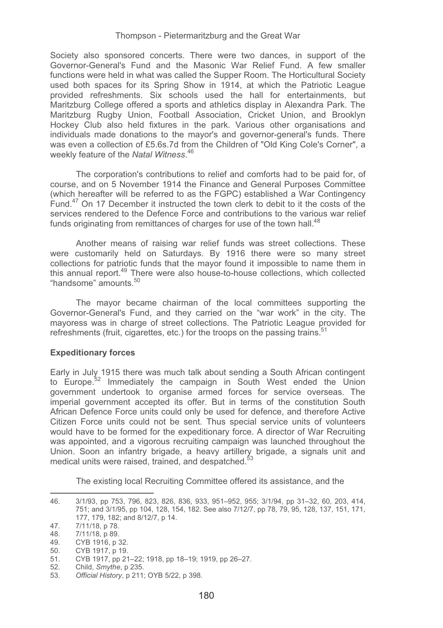Society also sponsored concerts. There were two dances, in support of the Governor-General's Fund and the Masonic War Relief Fund. A few smaller functions were held in what was called the Supper Room. The Horticultural Society used both spaces for its Spring Show in 1914, at which the Patriotic League provided refreshments. Six schools used the hall for entertainments, but Maritzburg College offered a sports and athletics display in Alexandra Park. The Maritzburg Rugby Union, Football Association, Cricket Union, and Brooklyn Hockey Club also held fixtures in the park. Various other organisations and individuals made donations to the mayor's and governor-general's funds. There was even a collection of £5.6s.7d from the Children of "Old King Cole's Corner", a weekly feature of the *Natal Witness*. 46

The corporation's contributions to relief and comforts had to be paid for, of course, and on 5 November 1914 the Finance and General Purposes Committee (which hereafter will be referred to as the FGPC) established a War Contingency Fund. $47$  On 17 December it instructed the town clerk to debit to it the costs of the services rendered to the Defence Force and contributions to the various war relief funds originating from remittances of charges for use of the town hall.<sup>48</sup>

Another means of raising war relief funds was street collections. These were customarily held on Saturdays. By 1916 there were so many street collections for patriotic funds that the mayor found it impossible to name them in this annual report.<sup>49</sup> There were also house-to-house collections, which collected "handsome" amounts.<sup>50</sup>

The mayor became chairman of the local committees supporting the Governor-General's Fund, and they carried on the "war work" in the city. The mayoress was in charge of street collections. The Patriotic League provided for refreshments (fruit, cigarettes, etc.) for the troops on the passing trains.<sup>51</sup>

## **Expeditionary forces**

Early in July 1915 there was much talk about sending a South African contingent to Europe.<sup>52</sup> Immediately the campaign in South West ended the Union government undertook to organise armed forces for service overseas. The imperial government accepted its offer. But in terms of the constitution South African Defence Force units could only be used for defence, and therefore Active Citizen Force units could not be sent. Thus special service units of volunteers would have to be formed for the expeditionary force. A director of War Recruiting was appointed, and a vigorous recruiting campaign was launched throughout the Union. Soon an infantry brigade, a heavy artillery brigade, a signals unit and medical units were raised, trained, and despatched.<sup>5</sup>

The existing local Recruiting Committee offered its assistance, and the

46. 3/1/93, pp 753, 796, 823, 826, 836, 933, 951–952, 955; 3/1/94, pp 31–32, 60, 203, 414, 751; and 3/1/95, pp 104, 128, 154, 182. See also 7/12/7, pp 78, 79, 95, 128, 137, 151, 171, 177, 179, 182; and 8/12/7, p 14.

<sup>47. 7/11/18,</sup> p 78.

<sup>7/11/18,</sup> p 89.

<sup>49.</sup> CYB 1916, p 32.<br>50 CYB 1917 p 19

CYB 1917, p 19.

<sup>51.</sup> CYB 1917, pp 21–22; 1918, pp 18–19; 1919, pp 26–27.

<sup>52.</sup> Child, *Smythe*, p 235.

<sup>53</sup>*. Official History*, p 211; OYB 5/22, p 398.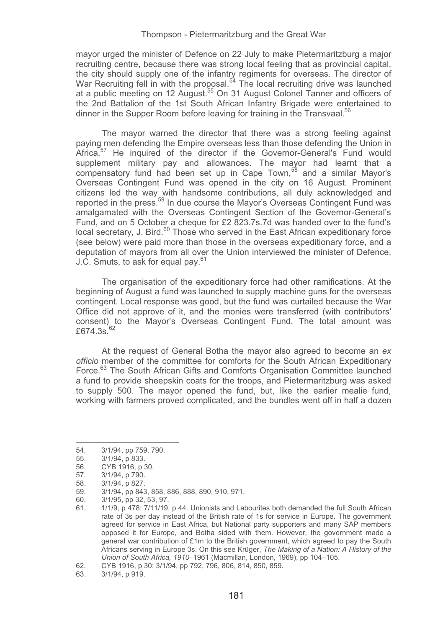mayor urged the minister of Defence on 22 July to make Pietermaritzburg a major recruiting centre, because there was strong local feeling that as provincial capital, the city should supply one of the infantry regiments for overseas. The director of War Recruiting fell in with the proposal.<sup>54</sup> The local recruiting drive was launched at a public meeting on 12 August.<sup>55</sup> On 31 August Colonel Tanner and officers of the 2nd Battalion of the 1st South African Infantry Brigade were entertained to dinner in the Supper Room before leaving for training in the Transvaal.<sup>56</sup>

The mayor warned the director that there was a strong feeling against paying men defending the Empire overseas less than those defending the Union in Africa.<sup>57</sup> He inquired of the director if the Governor-General's Fund would supplement military pay and allowances. The mayor had learnt that a compensatory fund had been set up in Cape Town,<sup>58</sup> and a similar Mayor's Overseas Contingent Fund was opened in the city on 16 August. Prominent citizens led the way with handsome contributions, all duly acknowledged and reported in the press.<sup>59</sup> In due course the Mayor's Overseas Contingent Fund was amalgamated with the Overseas Contingent Section of the Governor-General's Fund, and on 5 October a cheque for £2 823.7s.7d was handed over to the fund's  $\alpha$  local secretary, J. Bird. $60$  Those who served in the East African expeditionary force (see below) were paid more than those in the overseas expeditionary force, and a deputation of mayors from all over the Union interviewed the minister of Defence, J.C. Smuts, to ask for equal pay.<sup>61</sup>

The organisation of the expeditionary force had other ramifications. At the beginning of August a fund was launched to supply machine guns for the overseas contingent. Local response was good, but the fund was curtailed because the War Office did not approve of it, and the monies were transferred (with contributors' consent) to the Mayor's Overseas Contingent Fund. The total amount was  $f674.3s^{62}$ 

At the request of General Botha the mayor also agreed to become an *ex officio* member of the committee for comforts for the South African Expeditionary Force.<sup>63</sup> The South African Gifts and Comforts Organisation Committee launched a fund to provide sheepskin coats for the troops, and Pietermaritzburg was asked to supply 500. The mayor opened the fund, but, like the earlier mealie fund, working with farmers proved complicated, and the bundles went off in half a dozen

-----------------------------

------------------

<sup>-</sup>--------54. 3/1/94, pp 759, 790.<br>55. 3/1/94, p 833.

<sup>-</sup>--55. 3/1/94, p 833.

<sup>56.</sup> CYB 1916, p 30.<br>57. 3/1/94. p 790.

<sup>57. 3/1/94,</sup> p 790.<br>58. 3/1/94, p 827.

<sup>58. 3/1/94,</sup> p 827.

<sup>59. 3/1/94,</sup> pp 843, 858, 886, 888, 890, 910, 971.

<sup>60. 3/1/95,</sup> pp 32, 53, 97.

<sup>61. 1/1/9,</sup> p 478; 7/11/19, p 44. Unionists and Labourites both demanded the full South African rate of 3s per day instead of the British rate of 1s for service in Europe. The government agreed for service in East Africa, but National party supporters and many SAP members opposed it for Europe, and Botha sided with them. However, the government made a general war contribution of £1m to the British government, which agreed to pay the South Africans serving in Europe 3s. On this see Krüger, *The Making of a Nation: A History of the Union of South Africa, 1910*–1961 (Macmillan, London, 1969), pp 104–105.

<sup>62.</sup> CYB 1916, p 30; 3/1/94, pp 792, 796, 806, 814, 850, 859.

<sup>3/1/94,</sup> p 919.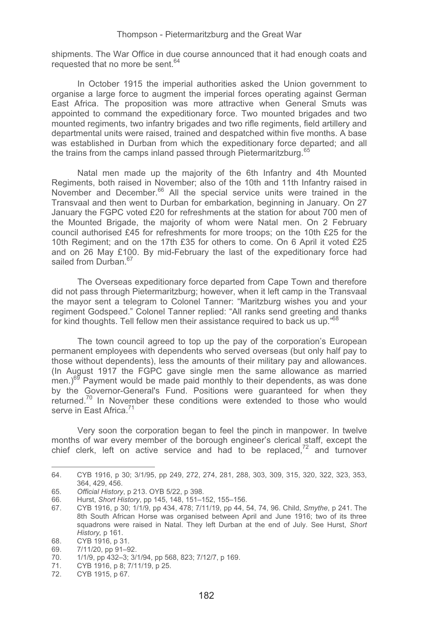shipments. The War Office in due course announced that it had enough coats and requested that no more be sent.<sup>64</sup>

In October 1915 the imperial authorities asked the Union government to organise a large force to augment the imperial forces operating against German East Africa. The proposition was more attractive when General Smuts was appointed to command the expeditionary force. Two mounted brigades and two mounted regiments, two infantry brigades and two rifle regiments, field artillery and departmental units were raised, trained and despatched within five months. A base was established in Durban from which the expeditionary force departed; and all the trains from the camps inland passed through Pietermaritzburg.<sup>65</sup>

Natal men made up the majority of the 6th Infantry and 4th Mounted Regiments, both raised in November; also of the 10th and 11th Infantry raised in November and December.66 All the special service units were trained in the Transvaal and then went to Durban for embarkation, beginning in January. On 27 January the FGPC voted £20 for refreshments at the station for about 700 men of the Mounted Brigade, the majority of whom were Natal men. On 2 February council authorised £45 for refreshments for more troops; on the 10th £25 for the 10th Regiment; and on the 17th £35 for others to come. On 6 April it voted £25 and on 26 May £100. By mid-February the last of the expeditionary force had sailed from Durban.<sup>67</sup>

The Overseas expeditionary force departed from Cape Town and therefore did not pass through Pietermaritzburg; however, when it left camp in the Transvaal the mayor sent a telegram to Colonel Tanner: "Maritzburg wishes you and your regiment Godspeed." Colonel Tanner replied: "All ranks send greeting and thanks for kind thoughts. Tell fellow men their assistance required to back us up."68

The town council agreed to top up the pay of the corporation's European permanent employees with dependents who served overseas (but only half pay to those without dependents), less the amounts of their military pay and allowances. (In August 1917 the FGPC gave single men the same allowance as married  $\text{m}$ en.)<sup>69</sup> Payment would be made paid monthly to their dependents, as was done by the Governor-General's Fund. Positions were guaranteed for when they returned<sup>70</sup> In November these conditions were extended to those who would serve in East Africa.<sup>71</sup>

Very soon the corporation began to feel the pinch in manpower. In twelve months of war every member of the borough engineer's clerical staff, except the chief clerk, left on active service and had to be replaced.<sup>72</sup> and turnover

<sup>64.</sup> CYB 1916, p 30; 3/1/95, pp 249, 272, 274, 281, 288, 303, 309, 315, 320, 322, 323, 353, 364, 429, 456.

<sup>65</sup>*. Official History*, p 213. OYB 5/22, p 398.

<sup>66.</sup> Hurst, *Short History*, pp 145, 148, 151–152, 155–156.

<sup>67.</sup> CYB 1916, p 30; 1/1/9, pp 434, 478; 7/11/19, pp 44, 54, 74, 96. Child, *Smythe*, p 241. The 8th South African Horse was organised between April and June 1916; two of its three squadrons were raised in Natal. They left Durban at the end of July. See Hurst, *Short History,* p 161.

<sup>68.</sup> CYB 1916, p 31.<br>69. 7/11/20, pp 91–9

<sup>69. 7/11/20,</sup> pp 91-92.<br>70 1/1/9. pp 432-3; 3/

<sup>70. 1/1/9,</sup> pp 432–3; 3/1/94, pp 568, 823; 7/12/7, p 169.

<sup>71.</sup> CYB 1916, p 8; 7/11/19, p 25.

CYB 1915, p 67.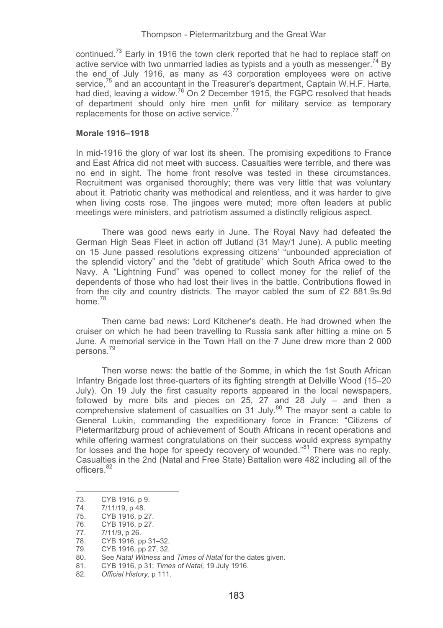continued.<sup>73</sup> Early in 1916 the town clerk reported that he had to replace staff on active service with two unmarried ladies as typists and a youth as messenger.<sup>74</sup> By the end of July 1916, as many as 43 corporation employees were on active service, $75$  and an accountant in the Treasurer's department, Captain W.H.F. Harte, had died, leaving a widow.<sup>76</sup> On 2 December 1915, the FGPC resolved that heads of department should only hire men unfit for military service as temporary replacements for those on active service.<sup>77</sup>

### **Morale 1916–1918**

In mid-1916 the glory of war lost its sheen. The promising expeditions to France and East Africa did not meet with success. Casualties were terrible, and there was no end in sight. The home front resolve was tested in these circumstances. Recruitment was organised thoroughly; there was very little that was voluntary about it. Patriotic charity was methodical and relentless, and it was harder to give when living costs rose. The jingoes were muted; more often leaders at public meetings were ministers, and patriotism assumed a distinctly religious aspect.

 There was good news early in June. The Royal Navy had defeated the German High Seas Fleet in action off Jutland (31 May/1 June). A public meeting on 15 June passed resolutions expressing citizens' "unbounded appreciation of the splendid victory" and the "debt of gratitude" which South Africa owed to the Navy. A "Lightning Fund" was opened to collect money for the relief of the dependents of those who had lost their lives in the battle. Contributions flowed in from the city and country districts. The mayor cabled the sum of £2 881.9s.9d home<sup>78</sup>

 Then came bad news: Lord Kitchener's death. He had drowned when the cruiser on which he had been travelling to Russia sank after hitting a mine on 5 June. A memorial service in the Town Hall on the 7 June drew more than 2 000 persons.<sup>79</sup>

 Then worse news: the battle of the Somme, in which the 1st South African Infantry Brigade lost three-quarters of its fighting strength at Delville Wood (15–20 July). On 19 July the first casualty reports appeared in the local newspapers, followed by more bits and pieces on 25, 27 and 28 July – and then a comprehensive statement of casualties on 31 July.<sup>80</sup> The mayor sent a cable to General Lukin, commanding the expeditionary force in France: "Citizens of Pietermaritzburg proud of achievement of South Africans in recent operations and while offering warmest congratulations on their success would express sympathy for losses and the hope for speedy recovery of wounded."<sup>81</sup> There was no reply. Casualties in the 2nd (Natal and Free State) Battalion were 482 including all of the officers.<sup>82</sup>

---------------------------------

-----------------

<sup>-</sup>--------73. CYB 1916, p 9.

<sup>74. 7/11/19,</sup> p 48.<br>75. CYB 1916, p 2

<sup>75.</sup> CYB 1916, p 27.

CYB 1916, p 27.

<sup>77. 7/11/9,</sup> p 26.<br>78. CYB 1916, p

CYB 1916, pp 31–32.

<sup>79.</sup> CYB 1916, pp 27, 32.

<sup>80.</sup> See *Natal Witness* and *Times of Natal* for the dates given.

<sup>81.</sup> CYB 1916, p 31; *Times of Natal,* 19 July 1916.

<sup>82</sup>*. Official History*, p 111.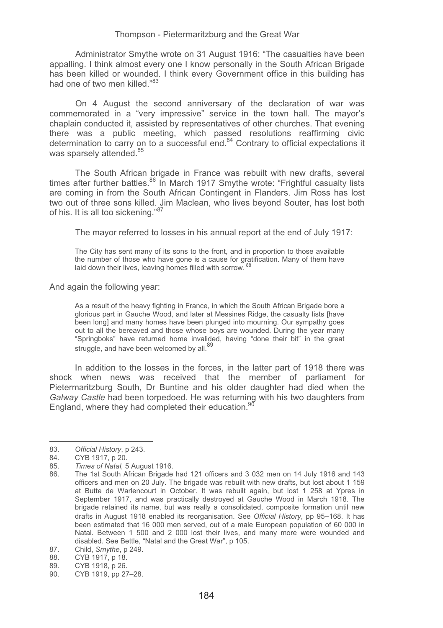Administrator Smythe wrote on 31 August 1916: "The casualties have been appalling. I think almost every one I know personally in the South African Brigade has been killed or wounded. I think every Government office in this building has had one of two men killed."83

 On 4 August the second anniversary of the declaration of war was commemorated in a "very impressive" service in the town hall. The mayor's chaplain conducted it, assisted by representatives of other churches. That evening there was a public meeting, which passed resolutions reaffirming civic determination to carry on to a successful end.84 Contrary to official expectations it was sparsely attended.<sup>85</sup>

 The South African brigade in France was rebuilt with new drafts, several times after further battles.<sup>86</sup> In March 1917 Smythe wrote: "Frightful casualty lists are coming in from the South African Contingent in Flanders. Jim Ross has lost two out of three sons killed. Jim Maclean, who lives beyond Souter, has lost both of his. It is all too sickening."<sup>87</sup>

The mayor referred to losses in his annual report at the end of July 1917:

The City has sent many of its sons to the front, and in proportion to those available the number of those who have gone is a cause for gratification. Many of them have laid down their lives, leaving homes filled with sorrow.<sup>88</sup>

And again the following year:

As a result of the heavy fighting in France, in which the South African Brigade bore a glorious part in Gauche Wood, and later at Messines Ridge, the casualty lists [have been long] and many homes have been plunged into mourning. Our sympathy goes out to all the bereaved and those whose boys are wounded. During the year many "Springboks" have returned home invalided, having "done their bit" in the great struggle, and have been welcomed by all.<sup>89</sup>

In addition to the losses in the forces, in the latter part of 1918 there was shock when news was received that the member of parliament for Pietermaritzburg South, Dr Buntine and his older daughter had died when the *Galway Castle* had been torpedoed. He was returning with his two daughters from England, where they had completed their education.<sup>90</sup>

----------------------------

--------------------

<sup>-</sup>-------83*. Official History*, p 243.

<sup>-</sup>--84. CYB 1917, p 20.<br>85. Times of Natal 5

<sup>85</sup>*. Times of Natal,* 5 August 1916.

The 1st South African Brigade had 121 officers and 3 032 men on 14 July 1916 and 143 officers and men on 20 July. The brigade was rebuilt with new drafts, but lost about 1 159 at Butte de Warlencourt in October. It was rebuilt again, but lost 1 258 at Ypres in September 1917, and was practically destroyed at Gauche Wood in March 1918. The brigade retained its name, but was really a consolidated, composite formation until new drafts in August 1918 enabled its reorganisation. See *Official History*, pp 95–168. It has been estimated that 16 000 men served, out of a male European population of 60 000 in Natal. Between 1 500 and 2 000 lost their lives, and many more were wounded and disabled. See Bettle, "Natal and the Great War", p 105.

<sup>87.</sup> Child, *Smythe*, p 249.

CYB 1917, p 18.

<sup>89.</sup> CYB 1918, p 26.<br>90. CYB 1919, pp 27

CYB 1919, pp 27–28.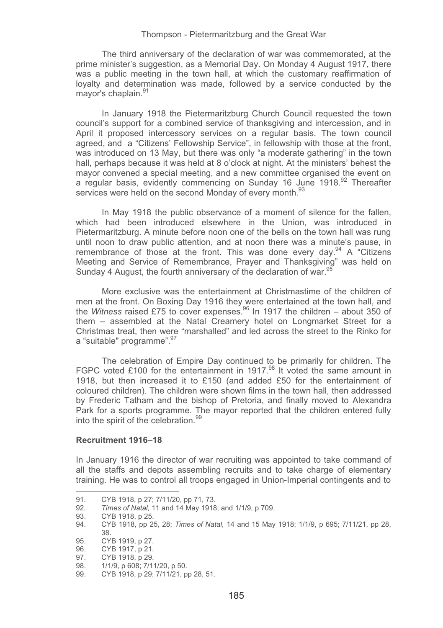The third anniversary of the declaration of war was commemorated, at the prime minister's suggestion, as a Memorial Day. On Monday 4 August 1917, there was a public meeting in the town hall, at which the customary reaffirmation of loyalty and determination was made, followed by a service conducted by the mayor's chaplain.<sup>91</sup>

 In January 1918 the Pietermaritzburg Church Council requested the town council's support for a combined service of thanksgiving and intercession, and in April it proposed intercessory services on a regular basis. The town council agreed, and a "Citizens' Fellowship Service", in fellowship with those at the front, was introduced on 13 May, but there was only "a moderate gathering" in the town hall, perhaps because it was held at 8 o'clock at night. At the ministers' behest the mayor convened a special meeting, and a new committee organised the event on a regular basis, evidently commencing on Sunday 16 June 1918.<sup>92</sup> Thereafter services were held on the second Monday of every month.<sup>93</sup>

 In May 1918 the public observance of a moment of silence for the fallen, which had been introduced elsewhere in the Union, was introduced in Pietermaritzburg. A minute before noon one of the bells on the town hall was rung until noon to draw public attention, and at noon there was a minute's pause, in remembrance of those at the front. This was done every day.<sup>94</sup> A "Citizens" Meeting and Service of Remembrance, Prayer and Thanksgiving" was held on Sunday 4 August, the fourth anniversary of the declaration of war.<sup>9</sup>

 More exclusive was the entertainment at Christmastime of the children of men at the front. On Boxing Day 1916 they were entertained at the town hall, and the *Witness* raised £75 to cover expenses.<sup>96</sup> In 1917 the children – about 350 of them – assembled at the Natal Creamery hotel on Longmarket Street for a Christmas treat, then were "marshalled" and led across the street to the Rinko for a "suitable" programme". 97

 The celebration of Empire Day continued to be primarily for children. The FGPC voted £100 for the entertainment in 1917.<sup>98</sup> It voted the same amount in 1918, but then increased it to £150 (and added £50 for the entertainment of coloured children). The children were shown films in the town hall, then addressed by Frederic Tatham and the bishop of Pretoria, and finally moved to Alexandra Park for a sports programme. The mayor reported that the children entered fully into the spirit of the celebration.<sup>99</sup>

### **Recruitment 1916–18**

In January 1916 the director of war recruiting was appointed to take command of all the staffs and depots assembling recruits and to take charge of elementary training. He was to control all troops engaged in Union-Imperial contingents and to

-----------

-----------------------------------

<sup>-</sup>--------91. CYB 1918, p 27; 7/11/20, pp 71, 73.

<sup>-</sup>---92*. Times of Natal,* 11 and 14 May 1918; and 1/1/9, p 709.

<sup>93.</sup> CYB 1918, p 25.<br>94. CYB 1918, pp 2

<sup>94.</sup> CYB 1918, pp 25, 28; *Times of Natal,* 14 and 15 May 1918; 1/1/9, p 695; 7/11/21, pp 28, 38.

<sup>95.</sup> CYB 1919, p 27.

<sup>96.</sup> CYB 1917, p 21.

<sup>97.</sup> CYB 1918, p 29.<br>98. 1/1/9. p 608; 7/1

<sup>98. 1/1/9,</sup> p 608; 7/11/20, p 50.<br>99. CYB 1918, p 29: 7/11/21, p

CYB 1918, p 29; 7/11/21, pp 28, 51.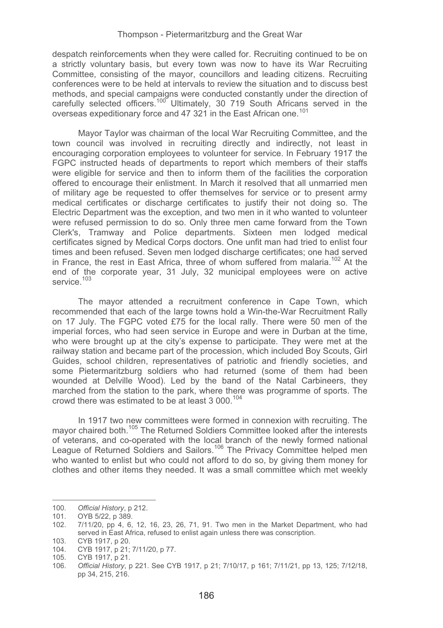despatch reinforcements when they were called for. Recruiting continued to be on a strictly voluntary basis, but every town was now to have its War Recruiting Committee, consisting of the mayor, councillors and leading citizens. Recruiting conferences were to be held at intervals to review the situation and to discuss best methods, and special campaigns were conducted constantly under the direction of carefully selected officers.100 Ultimately, 30 719 South Africans served in the overseas expeditionary force and 47 321 in the East African one.<sup>101</sup>

 Mayor Taylor was chairman of the local War Recruiting Committee, and the town council was involved in recruiting directly and indirectly, not least in encouraging corporation employees to volunteer for service. In February 1917 the FGPC instructed heads of departments to report which members of their staffs were eligible for service and then to inform them of the facilities the corporation offered to encourage their enlistment. In March it resolved that all unmarried men of military age be requested to offer themselves for service or to present army medical certificates or discharge certificates to justify their not doing so. The Electric Department was the exception, and two men in it who wanted to volunteer were refused permission to do so. Only three men came forward from the Town Clerk's, Tramway and Police departments. Sixteen men lodged medical certificates signed by Medical Corps doctors. One unfit man had tried to enlist four times and been refused. Seven men lodged discharge certificates; one had served in France, the rest in East Africa, three of whom suffered from malaria.<sup>102</sup> At the end of the corporate year, 31 July, 32 municipal employees were on active service.<sup>103</sup>

 The mayor attended a recruitment conference in Cape Town, which recommended that each of the large towns hold a Win-the-War Recruitment Rally on 17 July. The FGPC voted £75 for the local rally. There were 50 men of the imperial forces, who had seen service in Europe and were in Durban at the time, who were brought up at the city's expense to participate. They were met at the railway station and became part of the procession, which included Boy Scouts, Girl Guides, school children, representatives of patriotic and friendly societies, and some Pietermaritzburg soldiers who had returned (some of them had been wounded at Delville Wood). Led by the band of the Natal Carbineers, they marched from the station to the park, where there was programme of sports. The crowd there was estimated to be at least 3 000.<sup>104</sup>

 In 1917 two new committees were formed in connexion with recruiting. The mayor chaired both.<sup>105</sup> The Returned Soldiers Committee looked after the interests of veterans, and co-operated with the local branch of the newly formed national League of Returned Soldiers and Sailors.<sup>106</sup> The Privacy Committee helped men who wanted to enlist but who could not afford to do so, by giving them money for clothes and other items they needed. It was a small committee which met weekly

---------------------------

----------------------

<sup>-</sup>--------100*. Official History*, p 212.

<sup>-</sup>101. OYB 5/22, p 389.

<sup>102. 7/11/20,</sup> pp 4, 6, 12, 16, 23, 26, 71, 91. Two men in the Market Department, who had served in East Africa, refused to enlist again unless there was conscription.

<sup>103.</sup> CYB 1917, p 20.

<sup>104.</sup> CYB 1917, p 21; 7/11/20, p 77.

<sup>105.</sup> CYB 1917, p 21.

<sup>106</sup>*. Official History*, p 221. See CYB 1917, p 21; 7/10/17, p 161; 7/11/21, pp 13, 125; 7/12/18, pp 34, 215, 216.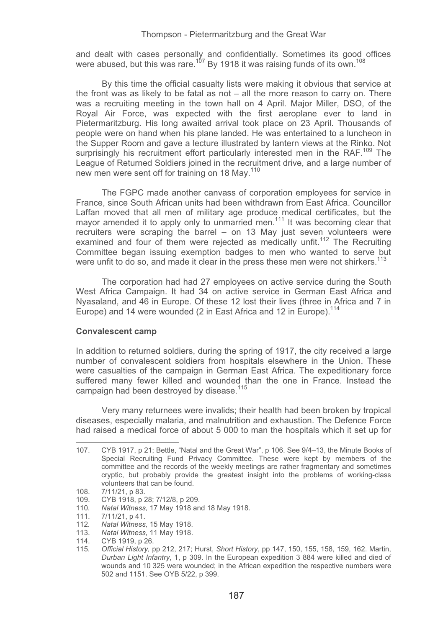and dealt with cases personally and confidentially. Sometimes its good offices were abused, but this was rare.<sup>107</sup> By 1918 it was raising funds of its own.<sup>108</sup>

By this time the official casualty lists were making it obvious that service at the front was as likely to be fatal as not – all the more reason to carry on. There was a recruiting meeting in the town hall on 4 April. Major Miller, DSO, of the Royal Air Force, was expected with the first aeroplane ever to land in Pietermaritzburg. His long awaited arrival took place on 23 April. Thousands of people were on hand when his plane landed. He was entertained to a luncheon in the Supper Room and gave a lecture illustrated by lantern views at the Rinko. Not surprisingly his recruitment effort particularly interested men in the RAF.<sup>109</sup> The League of Returned Soldiers joined in the recruitment drive, and a large number of new men were sent off for training on 18 May.<sup>110</sup>

The FGPC made another canvass of corporation employees for service in France, since South African units had been withdrawn from East Africa. Councillor Laffan moved that all men of military age produce medical certificates, but the mayor amended it to apply only to unmarried men.<sup>111</sup> It was becoming clear that recruiters were scraping the barrel – on 13 May just seven volunteers were examined and four of them were rejected as medically unfit.<sup>112</sup> The Recruiting Committee began issuing exemption badges to men who wanted to serve but were unfit to do so, and made it clear in the press these men were not shirkers.<sup>113</sup>

The corporation had had 27 employees on active service during the South West Africa Campaign. It had 34 on active service in German East Africa and Nyasaland, and 46 in Europe. Of these 12 lost their lives (three in Africa and 7 in Europe) and 14 were wounded (2 in East Africa and 12 in Europe).<sup>114</sup>

## **Convalescent camp**

In addition to returned soldiers, during the spring of 1917, the city received a large number of convalescent soldiers from hospitals elsewhere in the Union. These were casualties of the campaign in German East Africa. The expeditionary force suffered many fewer killed and wounded than the one in France. Instead the campaign had been destroyed by disease.<sup>115</sup>

 Very many returnees were invalids; their health had been broken by tropical diseases, especially malaria, and malnutrition and exhaustion. The Defence Force had raised a medical force of about 5 000 to man the hospitals which it set up for

107. CYB 1917, p 21; Bettle, "Natal and the Great War", p 106. See 9/4–13, the Minute Books of Special Recruiting Fund Privacy Committee. These were kept by members of the committee and the records of the weekly meetings are rather fragmentary and sometimes cryptic, but probably provide the greatest insight into the problems of working-class volunteers that can be found.

<sup>108. 7/11/21,</sup> p 83.

<sup>109.</sup> CYB 1918, p 28; 7/12/8, p 209.

<sup>110</sup>*. Natal Witness,* 17 May 1918 and 18 May 1918.

<sup>111. 7/11/21,</sup> p 41.

<sup>112</sup>*. Natal Witness,* 15 May 1918.

<sup>113.</sup> *Natal Witness,* 11 May 1918.

<sup>114.</sup> CYB 1919, p 26.

<sup>115</sup>*. Official History,* pp 212, 217; Hurst, *Short History*, pp 147, 150, 155, 158, 159, 162. Martin, *Durban Light Infantry*, 1, p 309. In the European expedition 3 884 were killed and died of wounds and 10 325 were wounded; in the African expedition the respective numbers were 502 and 1151. See OYB 5/22, p 399.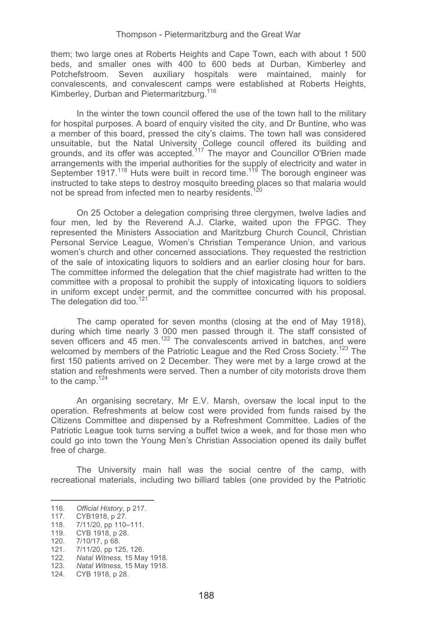them; two large ones at Roberts Heights and Cape Town, each with about 1 500 beds, and smaller ones with 400 to 600 beds at Durban, Kimberley and Potchefstroom. Seven auxiliary hospitals were maintained, mainly for convalescents, and convalescent camps were established at Roberts Heights, Kimberley, Durban and Pietermaritzburg.<sup>116</sup>

 In the winter the town council offered the use of the town hall to the military for hospital purposes. A board of enquiry visited the city, and Dr Buntine, who was a member of this board, pressed the city's claims. The town hall was considered unsuitable, but the Natal University College council offered its building and grounds, and its offer was accepted.<sup>117</sup> The mayor and Councillor O'Brien made arrangements with the imperial authorities for the supply of electricity and water in September 1917.<sup>118</sup> Huts were built in record time.<sup>119</sup> The borough engineer was instructed to take steps to destroy mosquito breeding places so that malaria would not be spread from infected men to nearby residents.<sup>120</sup>

On 25 October a delegation comprising three clergymen, twelve ladies and four men, led by the Reverend A.J. Clarke, waited upon the FPGC. They represented the Ministers Association and Maritzburg Church Council, Christian Personal Service League, Women's Christian Temperance Union, and various women's church and other concerned associations. They requested the restriction of the sale of intoxicating liquors to soldiers and an earlier closing hour for bars. The committee informed the delegation that the chief magistrate had written to the committee with a proposal to prohibit the supply of intoxicating liquors to soldiers in uniform except under permit, and the committee concurred with his proposal. The delegation did too.<sup>121</sup>

The camp operated for seven months (closing at the end of May 1918), during which time nearly 3 000 men passed through it. The staff consisted of seven officers and 45 men.<sup>122</sup> The convalescents arrived in batches, and were welcomed by members of the Patriotic League and the Red Cross Society.<sup>123</sup> The first 150 patients arrived on 2 December. They were met by a large crowd at the station and refreshments were served. Then a number of city motorists drove them to the camp.124

An organising secretary, Mr E.V. Marsh, oversaw the local input to the operation. Refreshments at below cost were provided from funds raised by the Citizens Committee and dispensed by a Refreshment Committee. Ladies of the Patriotic League took turns serving a buffet twice a week, and for those men who could go into town the Young Men's Christian Association opened its daily buffet free of charge.

The University main hall was the social centre of the camp, with recreational materials, including two billiard tables (one provided by the Patriotic

----------------------------

----------------------

<sup>-</sup>--------116*. Official History*, p 217.

<sup>117.</sup> CYB1918, p 27.

<sup>118. 7/11/20,</sup> pp 110–111.

<sup>119.</sup> CYB 1918, p 28.

<sup>120. 7/10/17,</sup> p 68.

<sup>121. 7/11/20,</sup> pp 125, 126. 122*. Natal Witness,* 15 May 1918.

<sup>123</sup>*. Natal Witness,* 15 May 1918.

<sup>124.</sup> CYB 1918, p 28.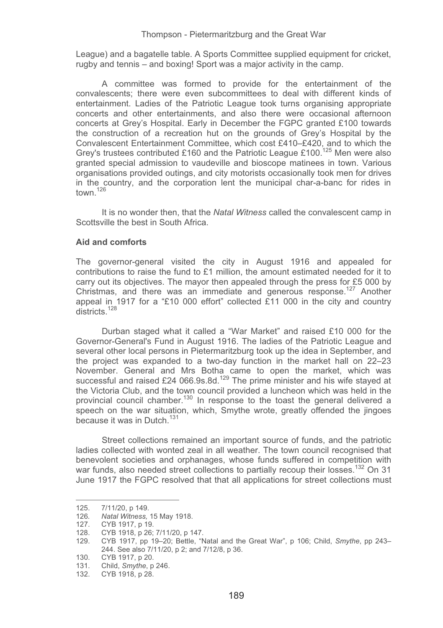League) and a bagatelle table. A Sports Committee supplied equipment for cricket, rugby and tennis – and boxing! Sport was a major activity in the camp.

A committee was formed to provide for the entertainment of the convalescents; there were even subcommittees to deal with different kinds of entertainment. Ladies of the Patriotic League took turns organising appropriate concerts and other entertainments, and also there were occasional afternoon concerts at Grey's Hospital. Early in December the FGPC granted £100 towards the construction of a recreation hut on the grounds of Grey's Hospital by the Convalescent Entertainment Committee, which cost £410–£420, and to which the Grey's trustees contributed £160 and the Patriotic League £100.<sup>125</sup> Men were also granted special admission to vaudeville and bioscope matinees in town. Various organisations provided outings, and city motorists occasionally took men for drives in the country, and the corporation lent the municipal char-a-banc for rides in town.<sup>126</sup>

It is no wonder then, that the *Natal Witness* called the convalescent camp in Scottsville the best in South Africa.

## **Aid and comforts**

The governor-general visited the city in August 1916 and appealed for contributions to raise the fund to £1 million, the amount estimated needed for it to carry out its objectives. The mayor then appealed through the press for £5 000 by Christmas, and there was an immediate and generous response.<sup>127</sup> Another appeal in 1917 for a "£10 000 effort" collected £11 000 in the city and country districts.<sup>128</sup>

 Durban staged what it called a "War Market" and raised £10 000 for the Governor-General's Fund in August 1916. The ladies of the Patriotic League and several other local persons in Pietermaritzburg took up the idea in September, and the project was expanded to a two-day function in the market hall on 22–23 November. General and Mrs Botha came to open the market, which was successful and raised £24 066.9s.8d.<sup>129</sup> The prime minister and his wife stayed at the Victoria Club, and the town council provided a luncheon which was held in the provincial council chamber.<sup>130</sup> In response to the toast the general delivered a speech on the war situation, which, Smythe wrote, greatly offended the jingoes because it was in Dutch.<sup>131</sup>

 Street collections remained an important source of funds, and the patriotic ladies collected with wonted zeal in all weather. The town council recognised that benevolent societies and orphanages, whose funds suffered in competition with war funds, also needed street collections to partially recoup their losses.<sup>132</sup> On 31 June 1917 the FGPC resolved that that all applications for street collections must

------

---------------- -----------------------

<sup>-</sup>--------125. 7/11/20, p 149.

<sup>-</sup>----126*. Natal Witness,* 15 May 1918.

<sup>127.</sup> CYB 1917, p 19.

<sup>128.</sup> CYB 1918, p 26; 7/11/20, p 147.

<sup>129.</sup> CYB 1917, pp 19–20; Bettle, "Natal and the Great War", p 106; Child, *Smythe*, pp 243– 244. See also 7/11/20, p 2; and 7/12/8, p 36.

<sup>130.</sup> CYB 1917, p 20.

<sup>131.</sup> Child, *Smythe*, p 246. 132. CYB 1918, p 28.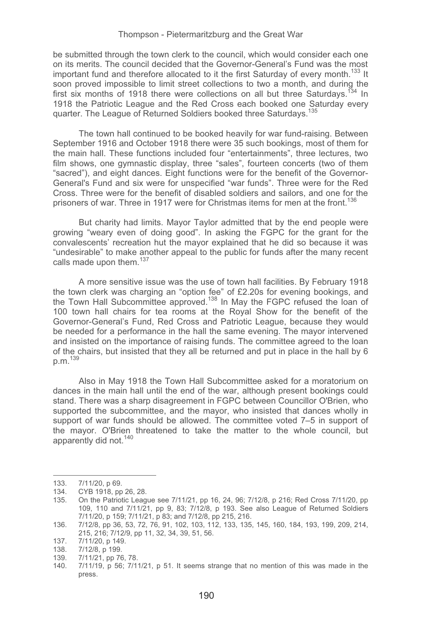be submitted through the town clerk to the council, which would consider each one on its merits. The council decided that the Governor-General's Fund was the most important fund and therefore allocated to it the first Saturday of every month.<sup>133</sup> It soon proved impossible to limit street collections to two a month, and during the first six months of 1918 there were collections on all but three Saturdays.<sup>134</sup> In 1918 the Patriotic League and the Red Cross each booked one Saturday every quarter. The League of Returned Soldiers booked three Saturdays.<sup>135</sup>

 The town hall continued to be booked heavily for war fund-raising. Between September 1916 and October 1918 there were 35 such bookings, most of them for the main hall. These functions included four "entertainments", three lectures, two film shows, one gymnastic display, three "sales", fourteen concerts (two of them "sacred"), and eight dances. Eight functions were for the benefit of the Governor-General's Fund and six were for unspecified "war funds". Three were for the Red Cross. Three were for the benefit of disabled soldiers and sailors, and one for the prisoners of war. Three in 1917 were for Christmas items for men at the front.<sup>136</sup>

 But charity had limits. Mayor Taylor admitted that by the end people were growing "weary even of doing good". In asking the FGPC for the grant for the convalescents' recreation hut the mayor explained that he did so because it was "undesirable" to make another appeal to the public for funds after the many recent calls made upon them.<sup>137</sup>

 A more sensitive issue was the use of town hall facilities. By February 1918 the town clerk was charging an "option fee" of £2.20s for evening bookings, and the Town Hall Subcommittee approved.<sup>138</sup> In May the FGPC refused the loan of 100 town hall chairs for tea rooms at the Royal Show for the benefit of the Governor-General's Fund, Red Cross and Patriotic League, because they would be needed for a performance in the hall the same evening. The mayor intervened and insisted on the importance of raising funds. The committee agreed to the loan of the chairs, but insisted that they all be returned and put in place in the hall by 6 p. m. <sup>139</sup>

 Also in May 1918 the Town Hall Subcommittee asked for a moratorium on dances in the main hall until the end of the war, although present bookings could stand. There was a sharp disagreement in FGPC between Councillor O'Brien, who supported the subcommittee, and the mayor, who insisted that dances wholly in support of war funds should be allowed. The committee voted 7–5 in support of the mayor. O'Brien threatened to take the matter to the whole council, but apparently did not.<sup>140</sup>

----------------- --------------------------------

139. 7/11/21, pp 76, 78.

<sup>-</sup>--------133. 7/11/20, p 69.

<sup>-</sup>-134. CYB 1918, pp 26, 28.<br>135 On the Patriotic Leag

<sup>135.</sup> On the Patriotic League see 7/11/21, pp 16, 24, 96; 7/12/8, p 216; Red Cross 7/11/20, pp 109, 110 and 7/11/21, pp 9, 83; 7/12/8, p 193. See also League of Returned Soldiers 7/11/20, p 159; 7/11/21, p 83; and 7/12/8, pp 215, 216.

<sup>136. 7/12/8,</sup> pp 36, 53, 72, 76, 91, 102, 103, 112, 133, 135, 145, 160, 184, 193, 199, 209, 214, 215, 216; 7/12/9, pp 11, 32, 34, 39, 51, 56.

<sup>137. 7/11/20,</sup> p 149.

<sup>138. 7/12/8,</sup> p 199.

<sup>140. 7/11/19,</sup> p 56; 7/11/21, p 51. It seems strange that no mention of this was made in the press.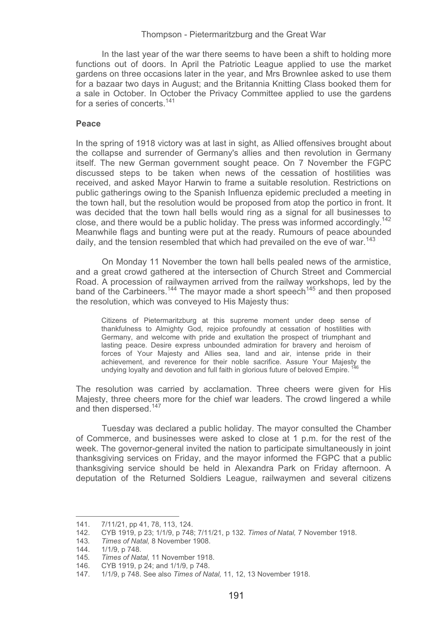In the last year of the war there seems to have been a shift to holding more functions out of doors. In April the Patriotic League applied to use the market gardens on three occasions later in the year, and Mrs Brownlee asked to use them for a bazaar two days in August; and the Britannia Knitting Class booked them for a sale in October. In October the Privacy Committee applied to use the gardens for a series of concerts<sup>141</sup>

### **Peace**

In the spring of 1918 victory was at last in sight, as Allied offensives brought about the collapse and surrender of Germany's allies and then revolution in Germany itself. The new German government sought peace. On 7 November the FGPC discussed steps to be taken when news of the cessation of hostilities was received, and asked Mayor Harwin to frame a suitable resolution. Restrictions on public gatherings owing to the Spanish Influenza epidemic precluded a meeting in the town hall, but the resolution would be proposed from atop the portico in front. It was decided that the town hall bells would ring as a signal for all businesses to close, and there would be a public holiday. The press was informed accordingly.<sup>142</sup> Meanwhile flags and bunting were put at the ready. Rumours of peace abounded daily, and the tension resembled that which had prevailed on the eve of war.<sup>143</sup>

 On Monday 11 November the town hall bells pealed news of the armistice, and a great crowd gathered at the intersection of Church Street and Commercial Road. A procession of railwaymen arrived from the railway workshops, led by the band of the Carbineers.<sup>144</sup> The mayor made a short speech<sup>145</sup> and then proposed the resolution, which was conveyed to His Majesty thus:

Citizens of Pietermaritzburg at this supreme moment under deep sense of thankfulness to Almighty God, rejoice profoundly at cessation of hostilities with Germany, and welcome with pride and exultation the prospect of triumphant and lasting peace. Desire express unbounded admiration for bravery and heroism of forces of Your Majesty and Allies sea, land and air, intense pride in their achievement, and reverence for their noble sacrifice. Assure Your Majesty the undying loyalty and devotion and full faith in glorious future of beloved Empire.

The resolution was carried by acclamation. Three cheers were given for His Majesty, three cheers more for the chief war leaders. The crowd lingered a while and then dispersed.<sup>147</sup>

 Tuesday was declared a public holiday. The mayor consulted the Chamber of Commerce, and businesses were asked to close at 1 p.m. for the rest of the week. The governor-general invited the nation to participate simultaneously in joint thanksgiving services on Friday, and the mayor informed the FGPC that a public thanksgiving service should be held in Alexandra Park on Friday afternoon. A deputation of the Returned Soldiers League, railwaymen and several citizens

----------------------

----------------------------

<sup>-</sup>--------141. 7/11/21, pp 41, 78, 113, 124.

<sup>142.</sup> CYB 1919, p 23; 1/1/9, p 748; 7/11/21, p 132. *Times of Natal,* 7 November 1918.

<sup>143</sup>*. Times of Natal,* 8 November 1908.

<sup>144. 1/1/9,</sup> p 748.

<sup>145</sup>*. Times of Natal,* 11 November 1918.

<sup>146.</sup> CYB 1919, p 24; and 1/1/9, p 748.

<sup>147. 1/1/9,</sup> p 748. See also *Times of Natal,* 11, 12, 13 November 1918.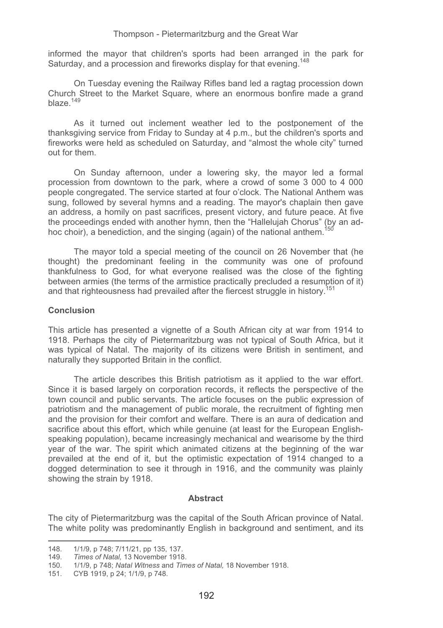informed the mayor that children's sports had been arranged in the park for Saturday, and a procession and fireworks display for that evening <sup>148</sup>

 On Tuesday evening the Railway Rifles band led a ragtag procession down Church Street to the Market Square, where an enormous bonfire made a grand blaze.<sup>149</sup>

 As it turned out inclement weather led to the postponement of the thanksgiving service from Friday to Sunday at 4 p.m., but the children's sports and fireworks were held as scheduled on Saturday, and "almost the whole city" turned out for them.

On Sunday afternoon, under a lowering sky, the mayor led a formal procession from downtown to the park, where a crowd of some 3 000 to 4 000 people congregated. The service started at four o'clock. The National Anthem was sung, followed by several hymns and a reading. The mayor's chaplain then gave an address, a homily on past sacrifices, present victory, and future peace. At five the proceedings ended with another hymn, then the "Hallelujah Chorus" (by an adhoc choir), a benediction, and the singing (again) of the national anthem.<sup>150</sup>

The mayor told a special meeting of the council on 26 November that (he thought) the predominant feeling in the community was one of profound thankfulness to God, for what everyone realised was the close of the fighting between armies (the terms of the armistice practically precluded a resumption of it) and that righteousness had prevailed after the fiercest struggle in history.<sup>1</sup>

## **Conclusion**

This article has presented a vignette of a South African city at war from 1914 to 1918. Perhaps the city of Pietermaritzburg was not typical of South Africa, but it was typical of Natal. The majority of its citizens were British in sentiment, and naturally they supported Britain in the conflict.

 The article describes this British patriotism as it applied to the war effort. Since it is based largely on corporation records, it reflects the perspective of the town council and public servants. The article focuses on the public expression of patriotism and the management of public morale, the recruitment of fighting men and the provision for their comfort and welfare. There is an aura of dedication and sacrifice about this effort, which while genuine (at least for the European Englishspeaking population), became increasingly mechanical and wearisome by the third year of the war. The spirit which animated citizens at the beginning of the war prevailed at the end of it, but the optimistic expectation of 1914 changed to a dogged determination to see it through in 1916, and the community was plainly showing the strain by 1918.

### **Abstract**

The city of Pietermaritzburg was the capital of the South African province of Natal. The white polity was predominantly English in background and sentiment, and its

-----------------

---------------------------------

<sup>-</sup>---------

<sup>148. 1/1/9,</sup> p 748; 7/11/21, pp 135, 137.<br>149. Times of Natal, 13 November 1918 **Times of Natal, 13 November 1918.** 

<sup>150. 1/1/9,</sup> p 748; *Natal Witness* and *Times of Natal,* 18 November 1918. 151. CYB 1919, p 24; 1/1/9, p 748.